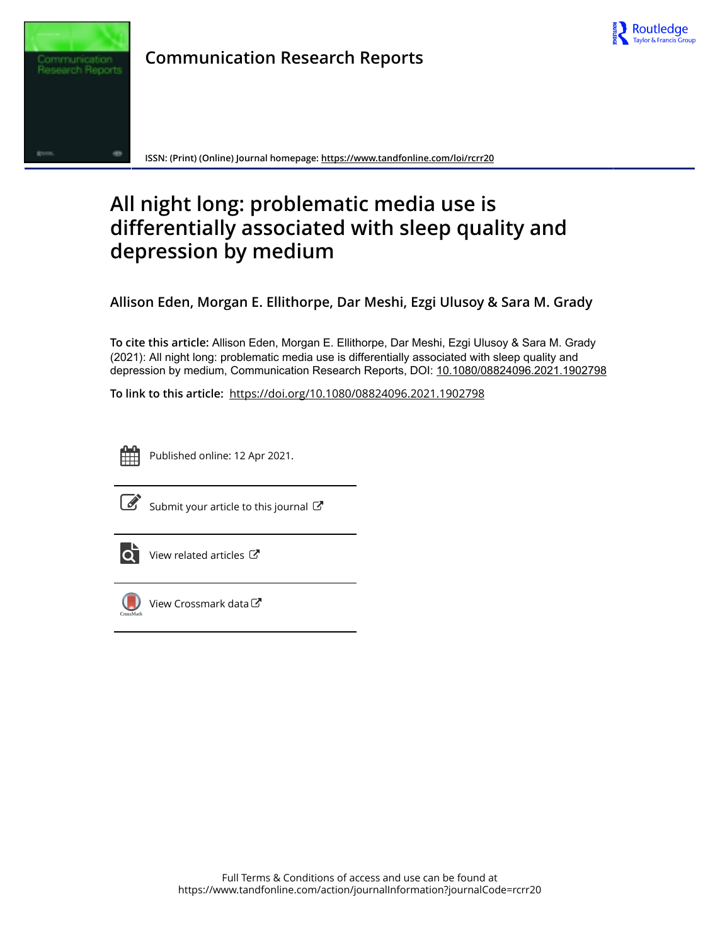

**Communication Research Reports**

**ISSN: (Print) (Online) Journal homepage: https://www.tandfonline.com/loi/rcrr20**

# **All night long: problematic media use is differentially associated with sleep quality and depression by medium**

**Allison Eden, Morgan E. Ellithorpe, Dar Meshi, Ezgi Ulusoy & Sara M. Grady**

**To cite this article:** Allison Eden, Morgan E. Ellithorpe, Dar Meshi, Ezgi Ulusoy & Sara M. Grady (2021): All night long: problematic media use is differentially associated with sleep quality and depression by medium, Communication Research Reports, DOI: 10.1080/08824096.2021.1902798

**To link to this article:** https://doi.org/10.1080/08824096.2021.1902798



Published online: 12 Apr 2021.



 $\overrightarrow{S}$  Submit your article to this journal  $\overrightarrow{S}$ 



 $\overline{\text{O}}$  View related articles  $\mathbb{C}^{\bullet}$ 



View Crossmark data $G$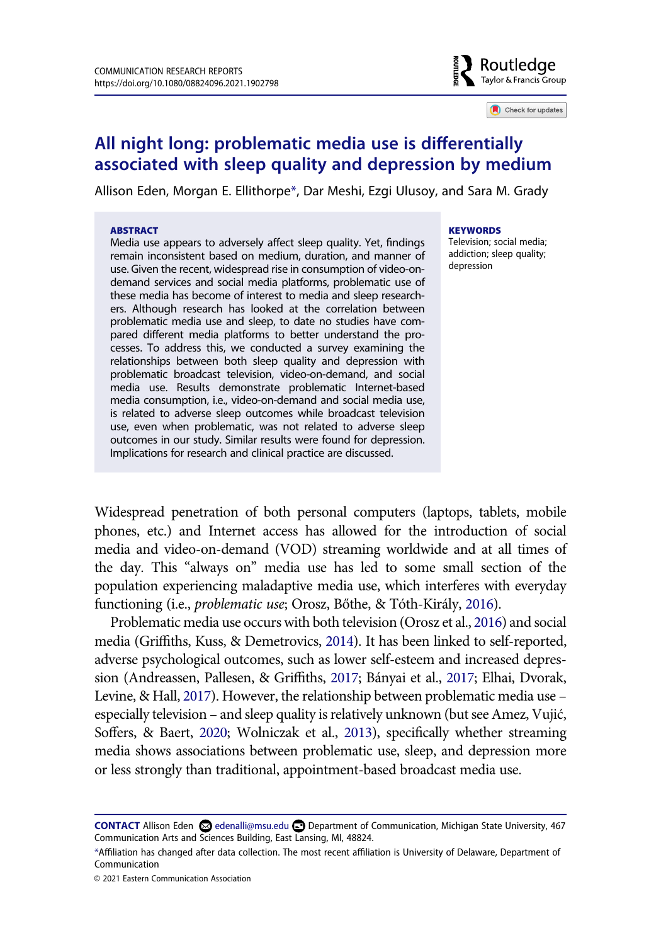# ៖ ි Routledae Taylor & Francis Group

Check for updates

# **All night long: problematic media use is differentially associated with sleep quality and depression by medium**

Allison Eden, Morgan E. Ellithorpe\*, Dar Meshi, Ezgi Ulusoy, and Sara M. Grady

#### **ABSTRACT**

Media use appears to adversely affect sleep quality. Yet, findings remain inconsistent based on medium, duration, and manner of use. Given the recent, widespread rise in consumption of video-ondemand services and social media platforms, problematic use of these media has become of interest to media and sleep researchers. Although research has looked at the correlation between problematic media use and sleep, to date no studies have compared different media platforms to better understand the processes. To address this, we conducted a survey examining the relationships between both sleep quality and depression with problematic broadcast television, video-on-demand, and social media use. Results demonstrate problematic Internet-based media consumption, i.e., video-on-demand and social media use, is related to adverse sleep outcomes while broadcast television use, even when problematic, was not related to adverse sleep outcomes in our study. Similar results were found for depression. Implications for research and clinical practice are discussed.

#### **KEYWORDS**

Television; social media; addiction; sleep quality; depression

Widespread penetration of both personal computers (laptops, tablets, mobile phones, etc.) and Internet access has allowed for the introduction of social media and video-on-demand (VOD) streaming worldwide and at all times of the day. This "always on" media use has led to some small section of the population experiencing maladaptive media use, which interferes with everyday functioning (i.e., *problematic use*; Orosz, Bőthe, & Tóth-Király, 2016).

Problematic media use occurs with both television (Orosz et al., 2016) and social media (Griffiths, Kuss, & Demetrovics, 2014). It has been linked to self-reported, adverse psychological outcomes, such as lower self-esteem and increased depression (Andreassen, Pallesen, & Griffiths, 2017; Bányai et al., 2017; Elhai, Dvorak, Levine, & Hall, 2017). However, the relationship between problematic media use – especially television – and sleep quality is relatively unknown (but see Amez, Vujić, Soffers, & Baert, 2020; Wolniczak et al., 2013), specifically whether streaming media shows associations between problematic use, sleep, and depression more or less strongly than traditional, appointment-based broadcast media use.

**CONTACT** Allison Eden edenalli@msu.edu Department of Communication, Michigan State University, 467 Communication Arts and Sciences Building, East Lansing, MI, 48824.

<sup>\*</sup>Affiliation has changed after data collection. The most recent affiliation is University of Delaware, Department of Communication

<sup>© 2021</sup> Eastern Communication Association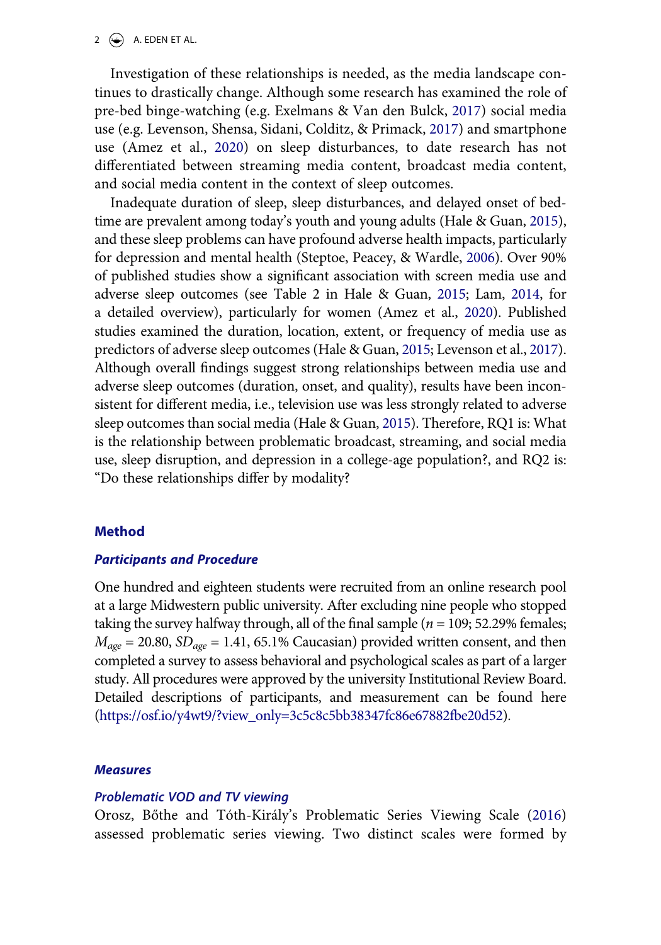#### $2 \leftarrow$  A. EDEN ET AL.

Investigation of these relationships is needed, as the media landscape continues to drastically change. Although some research has examined the role of pre-bed binge-watching (e.g. Exelmans & Van den Bulck, 2017) social media use (e.g. Levenson, Shensa, Sidani, Colditz, & Primack, 2017) and smartphone use (Amez et al., 2020) on sleep disturbances, to date research has not differentiated between streaming media content, broadcast media content, and social media content in the context of sleep outcomes.

Inadequate duration of sleep, sleep disturbances, and delayed onset of bedtime are prevalent among today's youth and young adults (Hale & Guan, 2015), and these sleep problems can have profound adverse health impacts, particularly for depression and mental health (Steptoe, Peacey, & Wardle, 2006). Over 90% of published studies show a significant association with screen media use and adverse sleep outcomes (see Table 2 in Hale & Guan, 2015; Lam, 2014, for a detailed overview), particularly for women (Amez et al., 2020). Published studies examined the duration, location, extent, or frequency of media use as predictors of adverse sleep outcomes (Hale & Guan, 2015; Levenson et al., 2017). Although overall findings suggest strong relationships between media use and adverse sleep outcomes (duration, onset, and quality), results have been inconsistent for different media, i.e., television use was less strongly related to adverse sleep outcomes than social media (Hale & Guan, 2015). Therefore, RQ1 is: What is the relationship between problematic broadcast, streaming, and social media use, sleep disruption, and depression in a college-age population?, and RQ2 is: "Do these relationships differ by modality?

#### **Method**

#### *Participants and Procedure*

One hundred and eighteen students were recruited from an online research pool at a large Midwestern public university. After excluding nine people who stopped taking the survey halfway through, all of the final sample ( $n = 109$ ; 52.29% females;  $M_{\text{age}} = 20.80$ ,  $SD_{\text{age}} = 1.41$ , 65.1% Caucasian) provided written consent, and then completed a survey to assess behavioral and psychological scales as part of a larger study. All procedures were approved by the university Institutional Review Board. Detailed descriptions of participants, and measurement can be found here (https://osf.io/y4wt9/?view\_only=3c5c8c5bb38347fc86e67882fbe20d52).

#### *Measures*

#### *Problematic VOD and TV viewing*

Orosz, Bőthe and Tóth-Király's Problematic Series Viewing Scale (2016) assessed problematic series viewing. Two distinct scales were formed by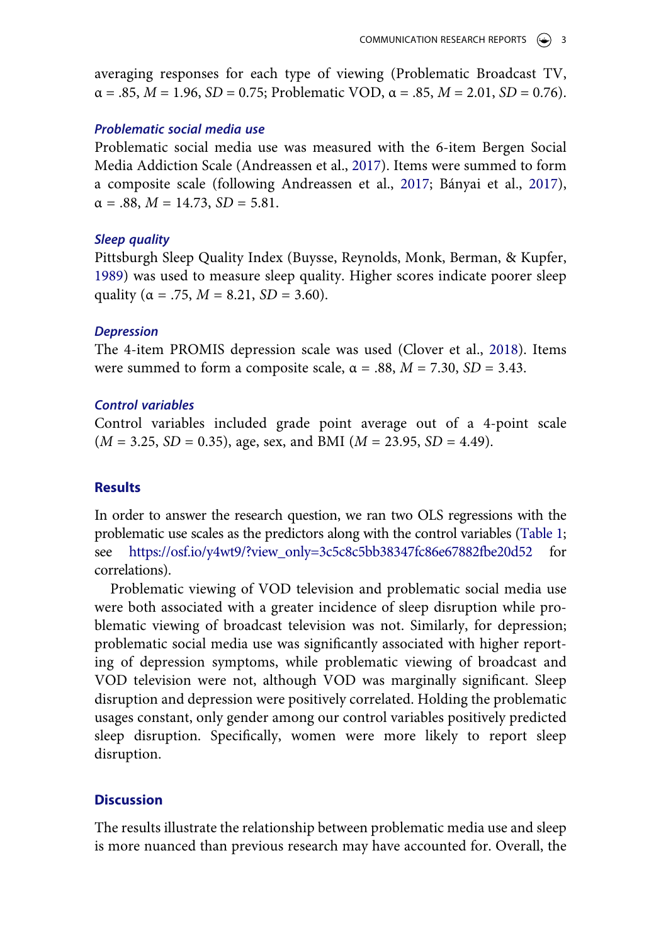averaging responses for each type of viewing (Problematic Broadcast TV,  $\alpha = .85$ ,  $M = 1.96$ ,  $SD = 0.75$ ; Problematic VOD,  $\alpha = .85$ ,  $M = 2.01$ ,  $SD = 0.76$ ).

### *Problematic social media use*

Problematic social media use was measured with the 6-item Bergen Social Media Addiction Scale (Andreassen et al., 2017). Items were summed to form a composite scale (following Andreassen et al., 2017; Bányai et al., 2017),  $\alpha = .88$ ,  $M = 14.73$ ,  $SD = 5.81$ .

#### *Sleep quality*

Pittsburgh Sleep Quality Index (Buysse, Reynolds, Monk, Berman, & Kupfer, 1989) was used to measure sleep quality. Higher scores indicate poorer sleep quality ( $\alpha$  = .75,  $M = 8.21$ ,  $SD = 3.60$ ).

#### *Depression*

The 4-item PROMIS depression scale was used (Clover et al., 2018). Items were summed to form a composite scale,  $\alpha = .88$ ,  $M = 7.30$ ,  $SD = 3.43$ .

#### *Control variables*

Control variables included grade point average out of a 4-point scale (*M* = 3.25, *SD* = 0.35), age, sex, and BMI (*M* = 23.95, *SD* = 4.49).

# **Results**

In order to answer the research question, we ran two OLS regressions with the problematic use scales as the predictors along with the control variables (Table 1; see https://osf.io/y4wt9/?view\_only=3c5c8c5bb38347fc86e67882fbe20d52 for correlations).

Problematic viewing of VOD television and problematic social media use were both associated with a greater incidence of sleep disruption while problematic viewing of broadcast television was not. Similarly, for depression; problematic social media use was significantly associated with higher reporting of depression symptoms, while problematic viewing of broadcast and VOD television were not, although VOD was marginally significant. Sleep disruption and depression were positively correlated. Holding the problematic usages constant, only gender among our control variables positively predicted sleep disruption. Specifically, women were more likely to report sleep disruption.

#### **Discussion**

The results illustrate the relationship between problematic media use and sleep is more nuanced than previous research may have accounted for. Overall, the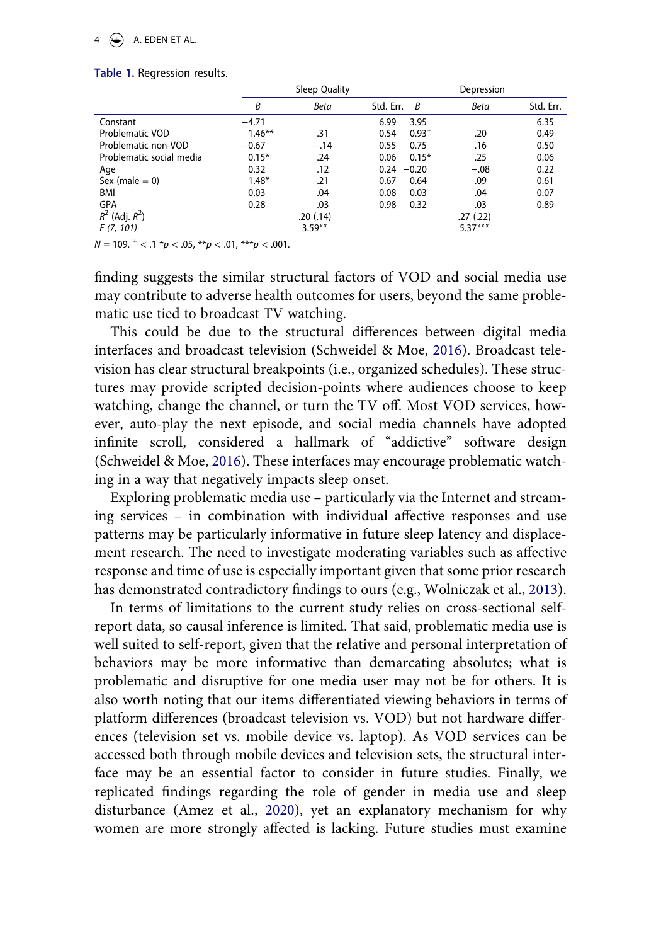#### $4 \quad \Leftrightarrow$  A. EDEN ET AL.

#### **Table 1.** Regression results.

|                          |           | Sleep Quality |               |            | Depression  |           |
|--------------------------|-----------|---------------|---------------|------------|-------------|-----------|
|                          | B         | <b>Beta</b>   | Std. Err.     | B          | <b>Beta</b> | Std. Err. |
| Constant                 | $-4.71$   |               | 6.99          | 3.95       |             | 6.35      |
| Problematic VOD          | $1.46***$ | .31           | 0.54          | $0.93^{+}$ | .20         | 0.49      |
| Problematic non-VOD      | $-0.67$   | $-.14$        | 0.55          | 0.75       | .16         | 0.50      |
| Problematic social media | $0.15*$   | .24           | 0.06          | $0.15*$    | .25         | 0.06      |
| Age                      | 0.32      | .12           | $0.24 - 0.20$ |            | $-.08$      | 0.22      |
| Sex (male $= 0$ )        | $1.48*$   | .21           | 0.67          | 0.64       | .09         | 0.61      |
| BMI                      | 0.03      | .04           | 0.08          | 0.03       | .04         | 0.07      |
| <b>GPA</b>               | 0.28      | .03           | 0.98          | 0.32       | .03         | 0.89      |
| $R^2$ (Adj. $R^2$ )      |           | .20(0.14)     |               |            | .27(.22)    |           |
| F(7, 101)                |           | $3.59**$      |               |            | $5.37***$   |           |

 $N = 109.$ <sup>+</sup> <  $\cdot$  1  $p$  <  $\cdot$  05,  $e^{*p}$  <  $\cdot$  01,  $e^{**}p$  <  $\cdot$  001.

finding suggests the similar structural factors of VOD and social media use may contribute to adverse health outcomes for users, beyond the same problematic use tied to broadcast TV watching.

This could be due to the structural differences between digital media interfaces and broadcast television (Schweidel & Moe, 2016). Broadcast television has clear structural breakpoints (i.e., organized schedules). These structures may provide scripted decision-points where audiences choose to keep watching, change the channel, or turn the TV off. Most VOD services, however, auto-play the next episode, and social media channels have adopted infinite scroll, considered a hallmark of "addictive" software design (Schweidel & Moe, 2016). These interfaces may encourage problematic watching in a way that negatively impacts sleep onset.

Exploring problematic media use – particularly via the Internet and streaming services – in combination with individual affective responses and use patterns may be particularly informative in future sleep latency and displacement research. The need to investigate moderating variables such as affective response and time of use is especially important given that some prior research has demonstrated contradictory findings to ours (e.g., Wolniczak et al., 2013).

In terms of limitations to the current study relies on cross-sectional selfreport data, so causal inference is limited. That said, problematic media use is well suited to self-report, given that the relative and personal interpretation of behaviors may be more informative than demarcating absolutes; what is problematic and disruptive for one media user may not be for others. It is also worth noting that our items differentiated viewing behaviors in terms of platform differences (broadcast television vs. VOD) but not hardware differences (television set vs. mobile device vs. laptop). As VOD services can be accessed both through mobile devices and television sets, the structural interface may be an essential factor to consider in future studies. Finally, we replicated findings regarding the role of gender in media use and sleep disturbance (Amez et al., 2020), yet an explanatory mechanism for why women are more strongly affected is lacking. Future studies must examine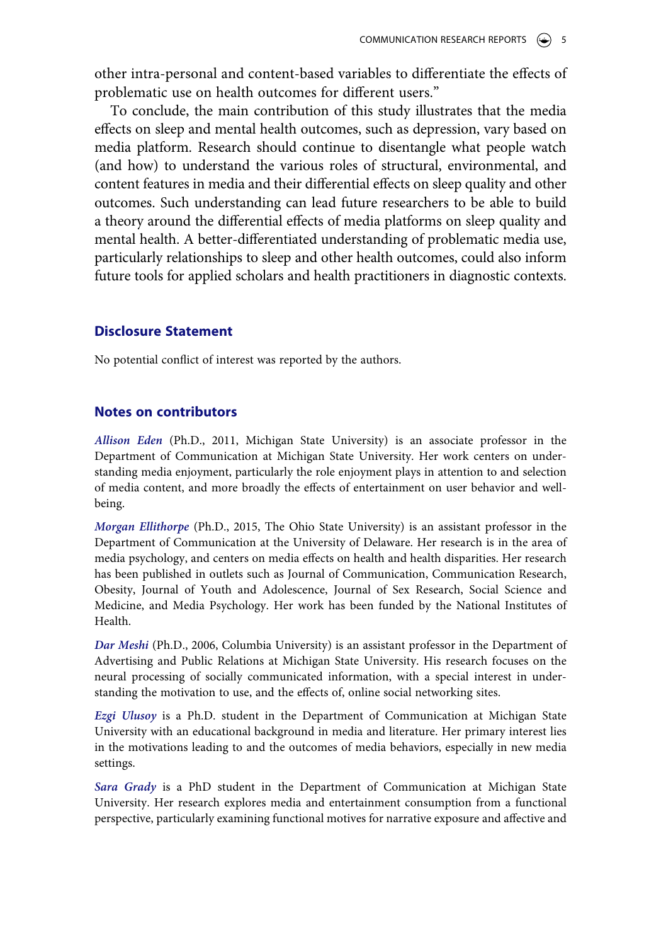other intra-personal and content-based variables to differentiate the effects of problematic use on health outcomes for different users."

To conclude, the main contribution of this study illustrates that the media effects on sleep and mental health outcomes, such as depression, vary based on media platform. Research should continue to disentangle what people watch (and how) to understand the various roles of structural, environmental, and content features in media and their differential effects on sleep quality and other outcomes. Such understanding can lead future researchers to be able to build a theory around the differential effects of media platforms on sleep quality and mental health. A better-differentiated understanding of problematic media use, particularly relationships to sleep and other health outcomes, could also inform future tools for applied scholars and health practitioners in diagnostic contexts.

# **Disclosure Statement**

No potential conflict of interest was reported by the authors.

# **Notes on contributors**

*Allison Eden* (Ph.D., 2011, Michigan State University) is an associate professor in the Department of Communication at Michigan State University. Her work centers on understanding media enjoyment, particularly the role enjoyment plays in attention to and selection of media content, and more broadly the effects of entertainment on user behavior and wellbeing.

*Morgan Ellithorpe* (Ph.D., 2015, The Ohio State University) is an assistant professor in the Department of Communication at the University of Delaware. Her research is in the area of media psychology, and centers on media effects on health and health disparities. Her research has been published in outlets such as Journal of Communication, Communication Research, Obesity, Journal of Youth and Adolescence, Journal of Sex Research, Social Science and Medicine, and Media Psychology. Her work has been funded by the National Institutes of Health.

*Dar Meshi* (Ph.D., 2006, Columbia University) is an assistant professor in the Department of Advertising and Public Relations at Michigan State University. His research focuses on the neural processing of socially communicated information, with a special interest in understanding the motivation to use, and the effects of, online social networking sites.

*Ezgi Ulusoy* is a Ph.D. student in the Department of Communication at Michigan State University with an educational background in media and literature. Her primary interest lies in the motivations leading to and the outcomes of media behaviors, especially in new media settings.

*Sara Grady* is a PhD student in the Department of Communication at Michigan State University. Her research explores media and entertainment consumption from a functional perspective, particularly examining functional motives for narrative exposure and affective and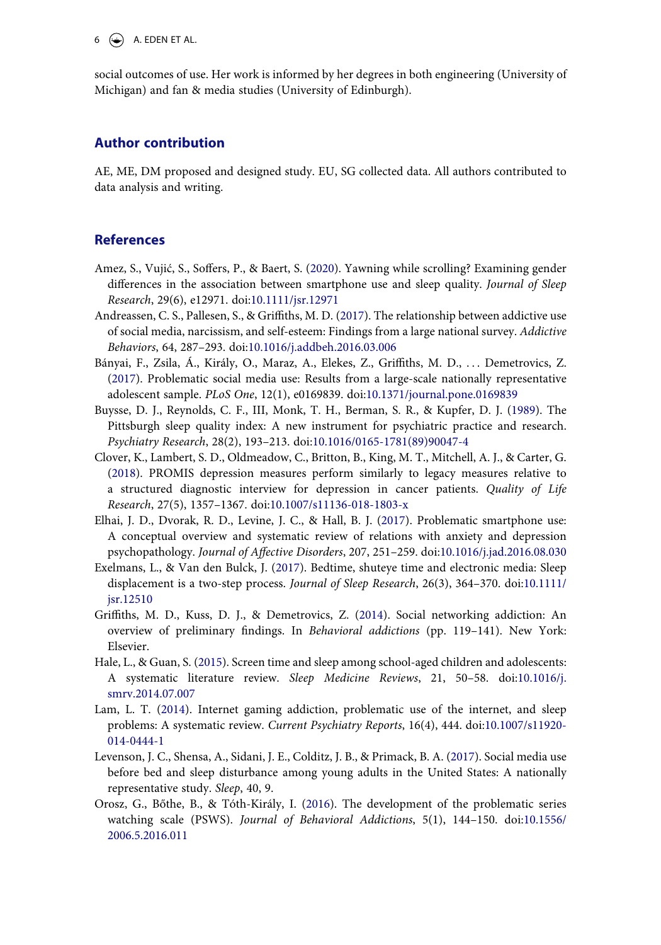$6 \leftrightarrow$  A. EDEN ET AL.

social outcomes of use. Her work is informed by her degrees in both engineering (University of Michigan) and fan & media studies (University of Edinburgh).

#### **Author contribution**

AE, ME, DM proposed and designed study. EU, SG collected data. All authors contributed to data analysis and writing.

# **References**

- Amez, S., Vujić, S., Soffers, P., & Baert, S. (2020). Yawning while scrolling? Examining gender differences in the association between smartphone use and sleep quality. *Journal of Sleep Research*, 29(6), e12971. doi:10.1111/jsr.12971
- Andreassen, C. S., Pallesen, S., & Griffiths, M. D. (2017). The relationship between addictive use of social media, narcissism, and self-esteem: Findings from a large national survey. *Addictive Behaviors*, 64, 287–293. doi:10.1016/j.addbeh.2016.03.006
- Bányai, F., Zsila, Á., Király, O., Maraz, A., Elekes, Z., Griffiths, M. D., . . . Demetrovics, Z. (2017). Problematic social media use: Results from a large-scale nationally representative adolescent sample. *PLoS One*, 12(1), e0169839. doi:10.1371/journal.pone.0169839
- Buysse, D. J., Reynolds, C. F., III, Monk, T. H., Berman, S. R., & Kupfer, D. J. (1989). The Pittsburgh sleep quality index: A new instrument for psychiatric practice and research. *Psychiatry Research*, 28(2), 193–213. doi:10.1016/0165-1781(89)90047-4
- Clover, K., Lambert, S. D., Oldmeadow, C., Britton, B., King, M. T., Mitchell, A. J., & Carter, G. (2018). PROMIS depression measures perform similarly to legacy measures relative to a structured diagnostic interview for depression in cancer patients. *Quality of Life Research*, 27(5), 1357–1367. doi:10.1007/s11136-018-1803-x
- Elhai, J. D., Dvorak, R. D., Levine, J. C., & Hall, B. J. (2017). Problematic smartphone use: A conceptual overview and systematic review of relations with anxiety and depression psychopathology. *Journal of Affective Disorders*, 207, 251–259. doi:10.1016/j.jad.2016.08.030
- Exelmans, L., & Van den Bulck, J. (2017). Bedtime, shuteye time and electronic media: Sleep displacement is a two-step process. *Journal of Sleep Research*, 26(3), 364–370. doi:10.1111/ jsr.12510
- Griffiths, M. D., Kuss, D. J., & Demetrovics, Z. (2014). Social networking addiction: An overview of preliminary findings. In *Behavioral addictions* (pp. 119–141). New York: Elsevier.
- Hale, L., & Guan, S. (2015). Screen time and sleep among school-aged children and adolescents: A systematic literature review. *Sleep Medicine Reviews*, 21, 50–58. doi:10.1016/j. smrv.2014.07.007
- Lam, L. T. (2014). Internet gaming addiction, problematic use of the internet, and sleep problems: A systematic review. *Current Psychiatry Reports*, 16(4), 444. doi:10.1007/s11920- 014-0444-1
- Levenson, J. C., Shensa, A., Sidani, J. E., Colditz, J. B., & Primack, B. A. (2017). Social media use before bed and sleep disturbance among young adults in the United States: A nationally representative study. *Sleep*, 40, 9.
- Orosz, G., Bőthe, B., & Tóth-Király, I. (2016). The development of the problematic series watching scale (PSWS). *Journal of Behavioral Addictions*, 5(1), 144–150. doi:10.1556/ 2006.5.2016.011